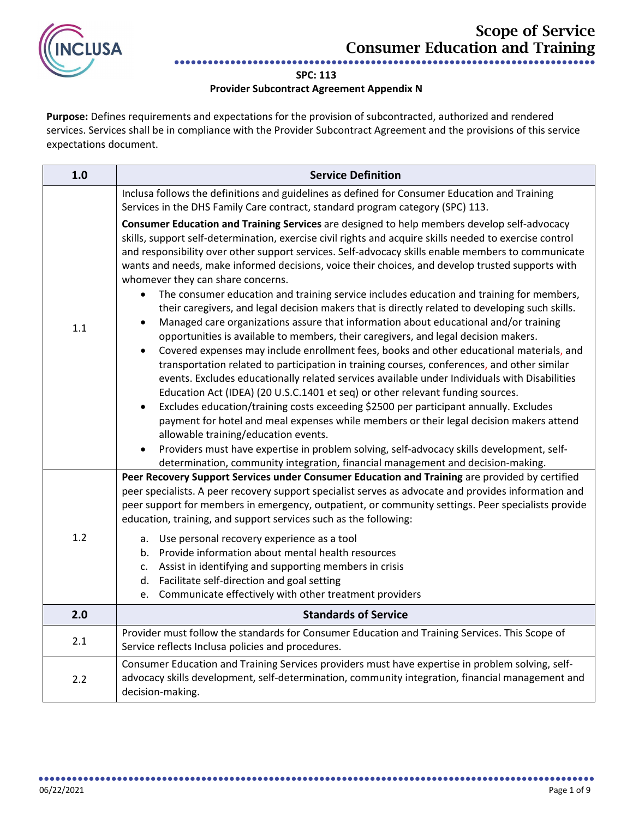

## **SPC: 113**

## **Provider Subcontract Agreement Appendix N**

**Purpose:** Defines requirements and expectations for the provision of subcontracted, authorized and rendered services. Services shall be in compliance with the Provider Subcontract Agreement and the provisions of this service expectations document.

| 1.0 | <b>Service Definition</b>                                                                                                                                                                                                                                                                                                                                                                                                                                                                                                                                                                                                                                                                                                                                                                                                                                                                                                                                                                                                                                                                                                                                                                                                                                                                                                                                                                                                                                                                                                                                                                                                                                                                      |
|-----|------------------------------------------------------------------------------------------------------------------------------------------------------------------------------------------------------------------------------------------------------------------------------------------------------------------------------------------------------------------------------------------------------------------------------------------------------------------------------------------------------------------------------------------------------------------------------------------------------------------------------------------------------------------------------------------------------------------------------------------------------------------------------------------------------------------------------------------------------------------------------------------------------------------------------------------------------------------------------------------------------------------------------------------------------------------------------------------------------------------------------------------------------------------------------------------------------------------------------------------------------------------------------------------------------------------------------------------------------------------------------------------------------------------------------------------------------------------------------------------------------------------------------------------------------------------------------------------------------------------------------------------------------------------------------------------------|
|     | Inclusa follows the definitions and guidelines as defined for Consumer Education and Training<br>Services in the DHS Family Care contract, standard program category (SPC) 113.                                                                                                                                                                                                                                                                                                                                                                                                                                                                                                                                                                                                                                                                                                                                                                                                                                                                                                                                                                                                                                                                                                                                                                                                                                                                                                                                                                                                                                                                                                                |
| 1.1 | Consumer Education and Training Services are designed to help members develop self-advocacy<br>skills, support self-determination, exercise civil rights and acquire skills needed to exercise control<br>and responsibility over other support services. Self-advocacy skills enable members to communicate<br>wants and needs, make informed decisions, voice their choices, and develop trusted supports with<br>whomever they can share concerns.<br>The consumer education and training service includes education and training for members,<br>$\bullet$<br>their caregivers, and legal decision makers that is directly related to developing such skills.<br>Managed care organizations assure that information about educational and/or training<br>$\bullet$<br>opportunities is available to members, their caregivers, and legal decision makers.<br>Covered expenses may include enrollment fees, books and other educational materials, and<br>$\bullet$<br>transportation related to participation in training courses, conferences, and other similar<br>events. Excludes educationally related services available under Individuals with Disabilities<br>Education Act (IDEA) (20 U.S.C.1401 et seq) or other relevant funding sources.<br>Excludes education/training costs exceeding \$2500 per participant annually. Excludes<br>$\bullet$<br>payment for hotel and meal expenses while members or their legal decision makers attend<br>allowable training/education events.<br>Providers must have expertise in problem solving, self-advocacy skills development, self-<br>$\bullet$<br>determination, community integration, financial management and decision-making. |
| 1.2 | Peer Recovery Support Services under Consumer Education and Training are provided by certified<br>peer specialists. A peer recovery support specialist serves as advocate and provides information and<br>peer support for members in emergency, outpatient, or community settings. Peer specialists provide<br>education, training, and support services such as the following:<br>a. Use personal recovery experience as a tool<br>b. Provide information about mental health resources<br>c. Assist in identifying and supporting members in crisis<br>d. Facilitate self-direction and goal setting<br>Communicate effectively with other treatment providers<br>e.                                                                                                                                                                                                                                                                                                                                                                                                                                                                                                                                                                                                                                                                                                                                                                                                                                                                                                                                                                                                                        |
| 2.0 | <b>Standards of Service</b>                                                                                                                                                                                                                                                                                                                                                                                                                                                                                                                                                                                                                                                                                                                                                                                                                                                                                                                                                                                                                                                                                                                                                                                                                                                                                                                                                                                                                                                                                                                                                                                                                                                                    |
| 2.1 | Provider must follow the standards for Consumer Education and Training Services. This Scope of<br>Service reflects Inclusa policies and procedures.                                                                                                                                                                                                                                                                                                                                                                                                                                                                                                                                                                                                                                                                                                                                                                                                                                                                                                                                                                                                                                                                                                                                                                                                                                                                                                                                                                                                                                                                                                                                            |
| 2.2 | Consumer Education and Training Services providers must have expertise in problem solving, self-<br>advocacy skills development, self-determination, community integration, financial management and<br>decision-making.                                                                                                                                                                                                                                                                                                                                                                                                                                                                                                                                                                                                                                                                                                                                                                                                                                                                                                                                                                                                                                                                                                                                                                                                                                                                                                                                                                                                                                                                       |

●●●●●●●●●●●●●●●●●●●●●●●●●●●●●●●●●●●●●●●●●●●●●●●●●●●●●●●●●●●●●●●●●●●●●●●●●●●●●●●●●●●●●●●●●●●●●●●●●●●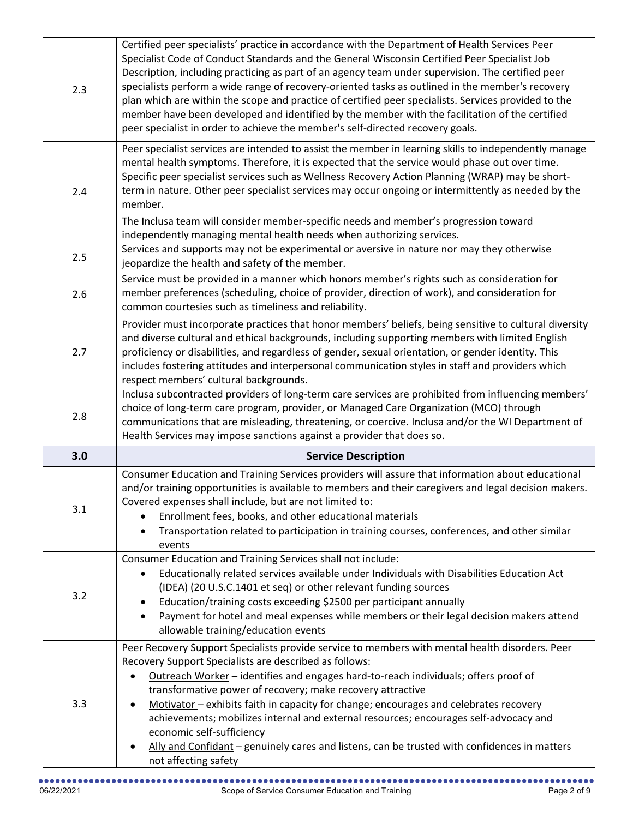| 2.3 | Certified peer specialists' practice in accordance with the Department of Health Services Peer<br>Specialist Code of Conduct Standards and the General Wisconsin Certified Peer Specialist Job<br>Description, including practicing as part of an agency team under supervision. The certified peer<br>specialists perform a wide range of recovery-oriented tasks as outlined in the member's recovery<br>plan which are within the scope and practice of certified peer specialists. Services provided to the<br>member have been developed and identified by the member with the facilitation of the certified<br>peer specialist in order to achieve the member's self-directed recovery goals. |
|-----|-----------------------------------------------------------------------------------------------------------------------------------------------------------------------------------------------------------------------------------------------------------------------------------------------------------------------------------------------------------------------------------------------------------------------------------------------------------------------------------------------------------------------------------------------------------------------------------------------------------------------------------------------------------------------------------------------------|
| 2.4 | Peer specialist services are intended to assist the member in learning skills to independently manage<br>mental health symptoms. Therefore, it is expected that the service would phase out over time.<br>Specific peer specialist services such as Wellness Recovery Action Planning (WRAP) may be short-<br>term in nature. Other peer specialist services may occur ongoing or intermittently as needed by the<br>member.<br>The Inclusa team will consider member-specific needs and member's progression toward                                                                                                                                                                                |
| 2.5 | independently managing mental health needs when authorizing services.<br>Services and supports may not be experimental or aversive in nature nor may they otherwise<br>jeopardize the health and safety of the member.                                                                                                                                                                                                                                                                                                                                                                                                                                                                              |
| 2.6 | Service must be provided in a manner which honors member's rights such as consideration for<br>member preferences (scheduling, choice of provider, direction of work), and consideration for<br>common courtesies such as timeliness and reliability.                                                                                                                                                                                                                                                                                                                                                                                                                                               |
| 2.7 | Provider must incorporate practices that honor members' beliefs, being sensitive to cultural diversity<br>and diverse cultural and ethical backgrounds, including supporting members with limited English<br>proficiency or disabilities, and regardless of gender, sexual orientation, or gender identity. This<br>includes fostering attitudes and interpersonal communication styles in staff and providers which<br>respect members' cultural backgrounds.                                                                                                                                                                                                                                      |
| 2.8 | Inclusa subcontracted providers of long-term care services are prohibited from influencing members'<br>choice of long-term care program, provider, or Managed Care Organization (MCO) through<br>communications that are misleading, threatening, or coercive. Inclusa and/or the WI Department of<br>Health Services may impose sanctions against a provider that does so.                                                                                                                                                                                                                                                                                                                         |
| 3.0 | <b>Service Description</b>                                                                                                                                                                                                                                                                                                                                                                                                                                                                                                                                                                                                                                                                          |
| 3.1 | Consumer Education and Training Services providers will assure that information about educational<br>and/or training opportunities is available to members and their caregivers and legal decision makers.<br>Covered expenses shall include, but are not limited to:<br>Enrollment fees, books, and other educational materials<br>$\bullet$<br>Transportation related to participation in training courses, conferences, and other similar<br>$\bullet$<br>events                                                                                                                                                                                                                                 |
| 3.2 | Consumer Education and Training Services shall not include:<br>Educationally related services available under Individuals with Disabilities Education Act<br>$\bullet$<br>(IDEA) (20 U.S.C.1401 et seq) or other relevant funding sources<br>Education/training costs exceeding \$2500 per participant annually<br>٠<br>Payment for hotel and meal expenses while members or their legal decision makers attend<br>$\bullet$<br>allowable training/education events                                                                                                                                                                                                                                 |
| 3.3 | Peer Recovery Support Specialists provide service to members with mental health disorders. Peer<br>Recovery Support Specialists are described as follows:<br>Outreach Worker - identifies and engages hard-to-reach individuals; offers proof of<br>transformative power of recovery; make recovery attractive<br>Motivator - exhibits faith in capacity for change; encourages and celebrates recovery<br>achievements; mobilizes internal and external resources; encourages self-advocacy and<br>economic self-sufficiency<br>Ally and Confidant - genuinely cares and listens, can be trusted with confidences in matters<br>not affecting safety                                               |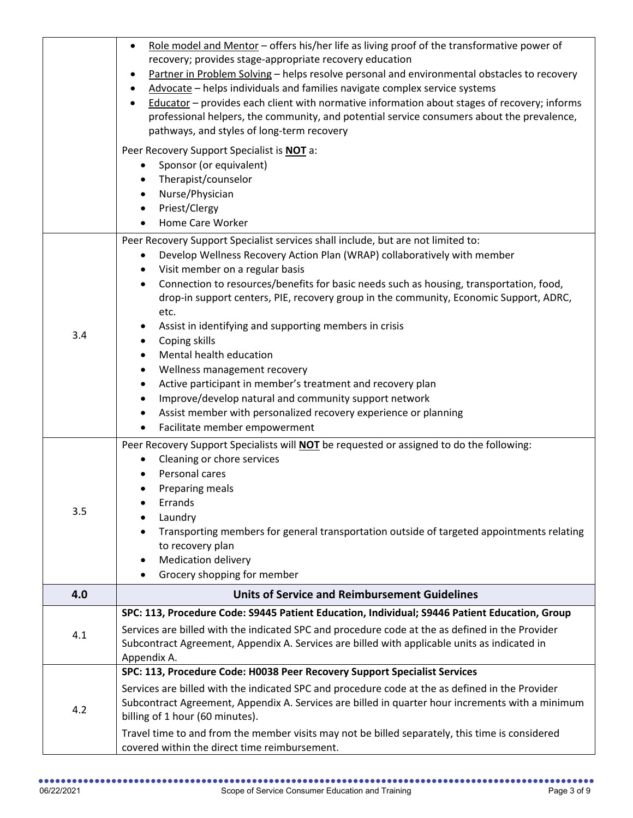|     | Role model and Mentor - offers his/her life as living proof of the transformative power of<br>$\bullet$<br>recovery; provides stage-appropriate recovery education<br>Partner in Problem Solving - helps resolve personal and environmental obstacles to recovery<br>Advocate - helps individuals and families navigate complex service systems<br>Educator - provides each client with normative information about stages of recovery; informs<br>professional helpers, the community, and potential service consumers about the prevalence,<br>pathways, and styles of long-term recovery<br>Peer Recovery Support Specialist is NOT a:                                                                                                                                                                                                                          |
|-----|--------------------------------------------------------------------------------------------------------------------------------------------------------------------------------------------------------------------------------------------------------------------------------------------------------------------------------------------------------------------------------------------------------------------------------------------------------------------------------------------------------------------------------------------------------------------------------------------------------------------------------------------------------------------------------------------------------------------------------------------------------------------------------------------------------------------------------------------------------------------|
|     | Sponsor (or equivalent)<br>Therapist/counselor<br>$\bullet$<br>Nurse/Physician<br>$\bullet$<br>Priest/Clergy<br>Home Care Worker                                                                                                                                                                                                                                                                                                                                                                                                                                                                                                                                                                                                                                                                                                                                   |
| 3.4 | Peer Recovery Support Specialist services shall include, but are not limited to:<br>Develop Wellness Recovery Action Plan (WRAP) collaboratively with member<br>٠<br>Visit member on a regular basis<br>$\bullet$<br>Connection to resources/benefits for basic needs such as housing, transportation, food,<br>$\bullet$<br>drop-in support centers, PIE, recovery group in the community, Economic Support, ADRC,<br>etc.<br>Assist in identifying and supporting members in crisis<br>Coping skills<br>$\bullet$<br>Mental health education<br>$\bullet$<br>Wellness management recovery<br>$\bullet$<br>Active participant in member's treatment and recovery plan<br>$\bullet$<br>Improve/develop natural and community support network<br>$\bullet$<br>Assist member with personalized recovery experience or planning<br>Facilitate member empowerment<br>٠ |
| 3.5 | Peer Recovery Support Specialists will <b>NOT</b> be requested or assigned to do the following:<br>Cleaning or chore services<br>$\bullet$<br>Personal cares<br>Preparing meals<br>Errands<br>Laundry<br>Transporting members for general transportation outside of targeted appointments relating<br>to recovery plan<br><b>Medication delivery</b><br>٠<br>Grocery shopping for member<br>$\bullet$                                                                                                                                                                                                                                                                                                                                                                                                                                                              |
| 4.0 | <b>Units of Service and Reimbursement Guidelines</b>                                                                                                                                                                                                                                                                                                                                                                                                                                                                                                                                                                                                                                                                                                                                                                                                               |
| 4.1 | SPC: 113, Procedure Code: S9445 Patient Education, Individual; S9446 Patient Education, Group<br>Services are billed with the indicated SPC and procedure code at the as defined in the Provider<br>Subcontract Agreement, Appendix A. Services are billed with applicable units as indicated in<br>Appendix A.                                                                                                                                                                                                                                                                                                                                                                                                                                                                                                                                                    |
| 4.2 | SPC: 113, Procedure Code: H0038 Peer Recovery Support Specialist Services<br>Services are billed with the indicated SPC and procedure code at the as defined in the Provider<br>Subcontract Agreement, Appendix A. Services are billed in quarter hour increments with a minimum<br>billing of 1 hour (60 minutes).<br>Travel time to and from the member visits may not be billed separately, this time is considered<br>covered within the direct time reimbursement.                                                                                                                                                                                                                                                                                                                                                                                            |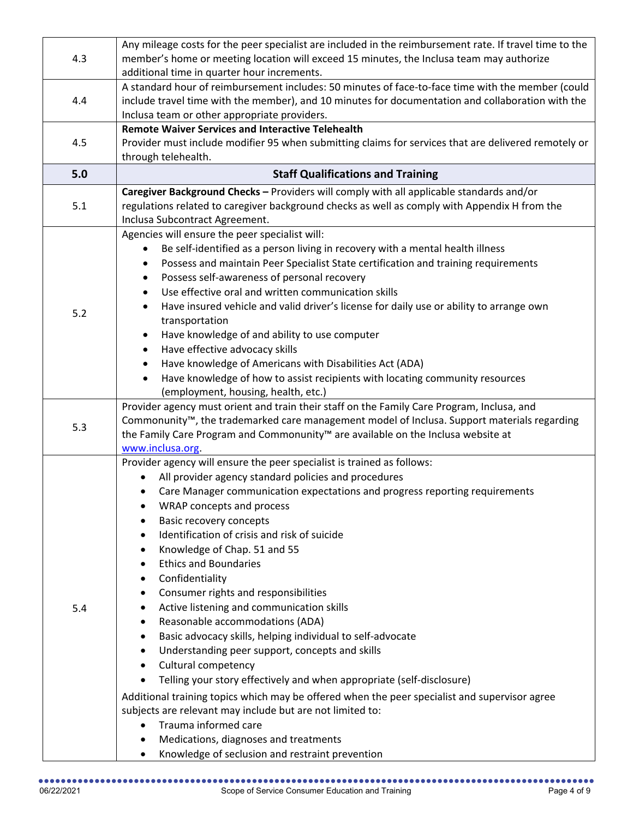| Any mileage costs for the peer specialist are included in the reimbursement rate. If travel time to the         |  |
|-----------------------------------------------------------------------------------------------------------------|--|
| 4.3<br>member's home or meeting location will exceed 15 minutes, the Inclusa team may authorize                 |  |
| additional time in quarter hour increments.                                                                     |  |
| A standard hour of reimbursement includes: 50 minutes of face-to-face time with the member (could               |  |
| 4.4<br>include travel time with the member), and 10 minutes for documentation and collaboration with the        |  |
| Inclusa team or other appropriate providers.                                                                    |  |
| <b>Remote Waiver Services and Interactive Telehealth</b>                                                        |  |
| 4.5<br>Provider must include modifier 95 when submitting claims for services that are delivered remotely or     |  |
| through telehealth.                                                                                             |  |
| 5.0<br><b>Staff Qualifications and Training</b>                                                                 |  |
| Caregiver Background Checks - Providers will comply with all applicable standards and/or                        |  |
| 5.1<br>regulations related to caregiver background checks as well as comply with Appendix H from the            |  |
| Inclusa Subcontract Agreement.                                                                                  |  |
| Agencies will ensure the peer specialist will:                                                                  |  |
| Be self-identified as a person living in recovery with a mental health illness                                  |  |
| Possess and maintain Peer Specialist State certification and training requirements                              |  |
| Possess self-awareness of personal recovery<br>$\bullet$                                                        |  |
| Use effective oral and written communication skills                                                             |  |
| Have insured vehicle and valid driver's license for daily use or ability to arrange own<br>5.2                  |  |
| transportation                                                                                                  |  |
| Have knowledge of and ability to use computer<br>$\bullet$                                                      |  |
| Have effective advocacy skills                                                                                  |  |
| Have knowledge of Americans with Disabilities Act (ADA)<br>$\bullet$                                            |  |
| Have knowledge of how to assist recipients with locating community resources                                    |  |
| (employment, housing, health, etc.)                                                                             |  |
| Provider agency must orient and train their staff on the Family Care Program, Inclusa, and                      |  |
| Commonunity <sup>™</sup> , the trademarked care management model of Inclusa. Support materials regarding<br>5.3 |  |
| the Family Care Program and Commonunity <sup>™</sup> are available on the Inclusa website at                    |  |
| www.inclusa.org                                                                                                 |  |
| Provider agency will ensure the peer specialist is trained as follows:                                          |  |
| All provider agency standard policies and procedures                                                            |  |
| Care Manager communication expectations and progress reporting requirements<br>$\bullet$                        |  |
| WRAP concepts and process                                                                                       |  |
| <b>Basic recovery concepts</b>                                                                                  |  |
| Identification of crisis and risk of suicide<br>$\bullet$                                                       |  |
| Knowledge of Chap. 51 and 55<br>٠                                                                               |  |
| <b>Ethics and Boundaries</b><br>٠                                                                               |  |
| Confidentiality<br>٠                                                                                            |  |
| Consumer rights and responsibilities<br>٠                                                                       |  |
|                                                                                                                 |  |
| Active listening and communication skills<br>5.4<br>٠                                                           |  |
| Reasonable accommodations (ADA)<br>٠                                                                            |  |
| Basic advocacy skills, helping individual to self-advocate<br>٠                                                 |  |
| $\bullet$                                                                                                       |  |
| Understanding peer support, concepts and skills<br>$\bullet$                                                    |  |
| Cultural competency<br>Telling your story effectively and when appropriate (self-disclosure)<br>٠               |  |
|                                                                                                                 |  |
| Additional training topics which may be offered when the peer specialist and supervisor agree                   |  |
| subjects are relevant may include but are not limited to:<br>$\bullet$                                          |  |
| Trauma informed care<br>Medications, diagnoses and treatments<br>$\bullet$                                      |  |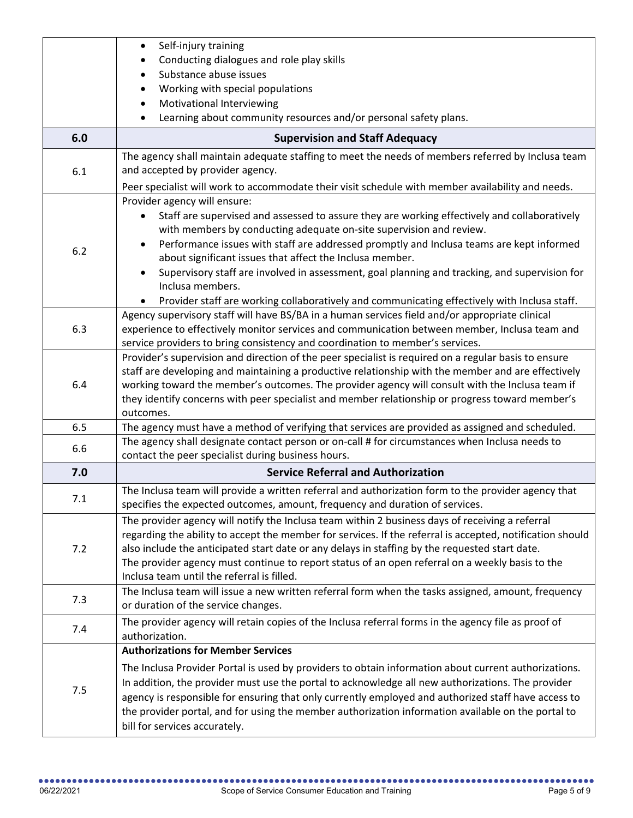|     | Self-injury training<br>$\bullet$<br>Conducting dialogues and role play skills                                                                                                                                                                                                                                                                                                                                                                                                                       |
|-----|------------------------------------------------------------------------------------------------------------------------------------------------------------------------------------------------------------------------------------------------------------------------------------------------------------------------------------------------------------------------------------------------------------------------------------------------------------------------------------------------------|
|     | Substance abuse issues                                                                                                                                                                                                                                                                                                                                                                                                                                                                               |
|     | Working with special populations                                                                                                                                                                                                                                                                                                                                                                                                                                                                     |
|     | Motivational Interviewing                                                                                                                                                                                                                                                                                                                                                                                                                                                                            |
|     | Learning about community resources and/or personal safety plans.                                                                                                                                                                                                                                                                                                                                                                                                                                     |
| 6.0 | <b>Supervision and Staff Adequacy</b>                                                                                                                                                                                                                                                                                                                                                                                                                                                                |
| 6.1 | The agency shall maintain adequate staffing to meet the needs of members referred by Inclusa team<br>and accepted by provider agency.<br>Peer specialist will work to accommodate their visit schedule with member availability and needs.                                                                                                                                                                                                                                                           |
|     | Provider agency will ensure:                                                                                                                                                                                                                                                                                                                                                                                                                                                                         |
| 6.2 | Staff are supervised and assessed to assure they are working effectively and collaboratively<br>with members by conducting adequate on-site supervision and review.<br>Performance issues with staff are addressed promptly and Inclusa teams are kept informed<br>$\bullet$<br>about significant issues that affect the Inclusa member.<br>Supervisory staff are involved in assessment, goal planning and tracking, and supervision for<br>$\bullet$                                               |
|     | Inclusa members.<br>Provider staff are working collaboratively and communicating effectively with Inclusa staff.                                                                                                                                                                                                                                                                                                                                                                                     |
| 6.3 | Agency supervisory staff will have BS/BA in a human services field and/or appropriate clinical<br>experience to effectively monitor services and communication between member, Inclusa team and<br>service providers to bring consistency and coordination to member's services.                                                                                                                                                                                                                     |
| 6.4 | Provider's supervision and direction of the peer specialist is required on a regular basis to ensure<br>staff are developing and maintaining a productive relationship with the member and are effectively<br>working toward the member's outcomes. The provider agency will consult with the Inclusa team if<br>they identify concerns with peer specialist and member relationship or progress toward member's<br>outcomes.                                                                        |
| 6.5 | The agency must have a method of verifying that services are provided as assigned and scheduled.                                                                                                                                                                                                                                                                                                                                                                                                     |
| 6.6 | The agency shall designate contact person or on-call # for circumstances when Inclusa needs to<br>contact the peer specialist during business hours.                                                                                                                                                                                                                                                                                                                                                 |
| 7.0 | <b>Service Referral and Authorization</b>                                                                                                                                                                                                                                                                                                                                                                                                                                                            |
| 7.1 | The Inclusa team will provide a written referral and authorization form to the provider agency that<br>specifies the expected outcomes, amount, frequency and duration of services.                                                                                                                                                                                                                                                                                                                  |
| 7.2 | The provider agency will notify the Inclusa team within 2 business days of receiving a referral<br>regarding the ability to accept the member for services. If the referral is accepted, notification should<br>also include the anticipated start date or any delays in staffing by the requested start date.<br>The provider agency must continue to report status of an open referral on a weekly basis to the<br>Inclusa team until the referral is filled.                                      |
| 7.3 | The Inclusa team will issue a new written referral form when the tasks assigned, amount, frequency<br>or duration of the service changes.                                                                                                                                                                                                                                                                                                                                                            |
| 7.4 | The provider agency will retain copies of the Inclusa referral forms in the agency file as proof of<br>authorization.                                                                                                                                                                                                                                                                                                                                                                                |
| 7.5 | <b>Authorizations for Member Services</b><br>The Inclusa Provider Portal is used by providers to obtain information about current authorizations.<br>In addition, the provider must use the portal to acknowledge all new authorizations. The provider<br>agency is responsible for ensuring that only currently employed and authorized staff have access to<br>the provider portal, and for using the member authorization information available on the portal to<br>bill for services accurately. |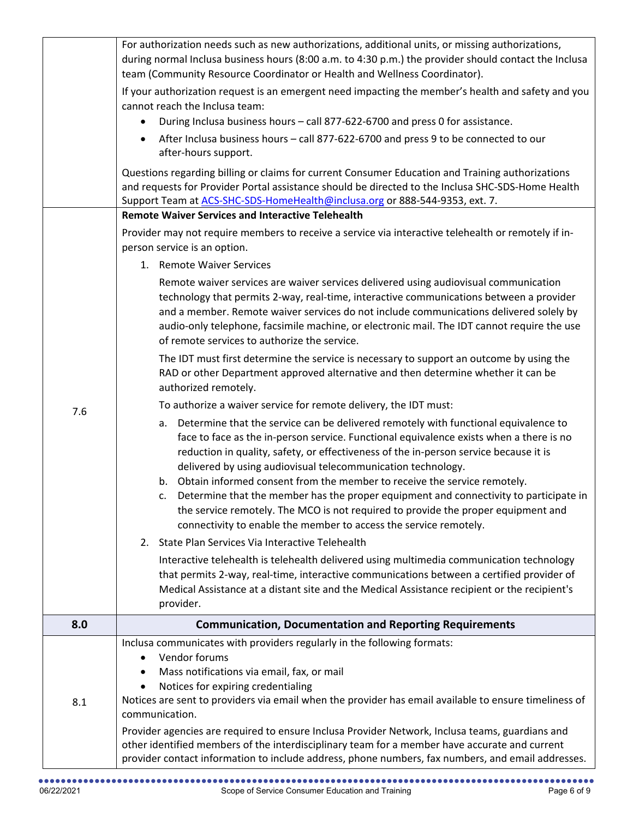|     | For authorization needs such as new authorizations, additional units, or missing authorizations,                                                                                                                                                                                                                                                                                                                                                                                                                                                                                                                                                                                      |
|-----|---------------------------------------------------------------------------------------------------------------------------------------------------------------------------------------------------------------------------------------------------------------------------------------------------------------------------------------------------------------------------------------------------------------------------------------------------------------------------------------------------------------------------------------------------------------------------------------------------------------------------------------------------------------------------------------|
|     | during normal Inclusa business hours (8:00 a.m. to 4:30 p.m.) the provider should contact the Inclusa                                                                                                                                                                                                                                                                                                                                                                                                                                                                                                                                                                                 |
|     | team (Community Resource Coordinator or Health and Wellness Coordinator).                                                                                                                                                                                                                                                                                                                                                                                                                                                                                                                                                                                                             |
|     | If your authorization request is an emergent need impacting the member's health and safety and you                                                                                                                                                                                                                                                                                                                                                                                                                                                                                                                                                                                    |
|     | cannot reach the Inclusa team:                                                                                                                                                                                                                                                                                                                                                                                                                                                                                                                                                                                                                                                        |
|     | During Inclusa business hours - call 877-622-6700 and press 0 for assistance.<br>$\bullet$                                                                                                                                                                                                                                                                                                                                                                                                                                                                                                                                                                                            |
|     | After Inclusa business hours - call 877-622-6700 and press 9 to be connected to our<br>$\bullet$<br>after-hours support.                                                                                                                                                                                                                                                                                                                                                                                                                                                                                                                                                              |
|     | Questions regarding billing or claims for current Consumer Education and Training authorizations<br>and requests for Provider Portal assistance should be directed to the Inclusa SHC-SDS-Home Health<br>Support Team at ACS-SHC-SDS-HomeHealth@inclusa.org or 888-544-9353, ext. 7.                                                                                                                                                                                                                                                                                                                                                                                                  |
|     | <b>Remote Waiver Services and Interactive Telehealth</b>                                                                                                                                                                                                                                                                                                                                                                                                                                                                                                                                                                                                                              |
|     | Provider may not require members to receive a service via interactive telehealth or remotely if in-<br>person service is an option.                                                                                                                                                                                                                                                                                                                                                                                                                                                                                                                                                   |
|     | 1. Remote Waiver Services                                                                                                                                                                                                                                                                                                                                                                                                                                                                                                                                                                                                                                                             |
|     | Remote waiver services are waiver services delivered using audiovisual communication<br>technology that permits 2-way, real-time, interactive communications between a provider<br>and a member. Remote waiver services do not include communications delivered solely by<br>audio-only telephone, facsimile machine, or electronic mail. The IDT cannot require the use<br>of remote services to authorize the service.                                                                                                                                                                                                                                                              |
|     | The IDT must first determine the service is necessary to support an outcome by using the<br>RAD or other Department approved alternative and then determine whether it can be<br>authorized remotely.                                                                                                                                                                                                                                                                                                                                                                                                                                                                                 |
|     | To authorize a waiver service for remote delivery, the IDT must:                                                                                                                                                                                                                                                                                                                                                                                                                                                                                                                                                                                                                      |
| 7.6 | a. Determine that the service can be delivered remotely with functional equivalence to<br>face to face as the in-person service. Functional equivalence exists when a there is no<br>reduction in quality, safety, or effectiveness of the in-person service because it is<br>delivered by using audiovisual telecommunication technology.<br>Obtain informed consent from the member to receive the service remotely.<br>b.<br>Determine that the member has the proper equipment and connectivity to participate in<br>c.<br>the service remotely. The MCO is not required to provide the proper equipment and<br>connectivity to enable the member to access the service remotely. |
|     | State Plan Services Via Interactive Telehealth<br>2.                                                                                                                                                                                                                                                                                                                                                                                                                                                                                                                                                                                                                                  |
|     | Interactive telehealth is telehealth delivered using multimedia communication technology<br>that permits 2-way, real-time, interactive communications between a certified provider of<br>Medical Assistance at a distant site and the Medical Assistance recipient or the recipient's<br>provider.                                                                                                                                                                                                                                                                                                                                                                                    |
| 8.0 | <b>Communication, Documentation and Reporting Requirements</b>                                                                                                                                                                                                                                                                                                                                                                                                                                                                                                                                                                                                                        |
| 8.1 | Inclusa communicates with providers regularly in the following formats:<br>Vendor forums<br>$\bullet$<br>Mass notifications via email, fax, or mail<br>$\bullet$<br>Notices for expiring credentialing<br>Notices are sent to providers via email when the provider has email available to ensure timeliness of<br>communication.                                                                                                                                                                                                                                                                                                                                                     |
|     | Provider agencies are required to ensure Inclusa Provider Network, Inclusa teams, guardians and<br>other identified members of the interdisciplinary team for a member have accurate and current<br>provider contact information to include address, phone numbers, fax numbers, and email addresses.                                                                                                                                                                                                                                                                                                                                                                                 |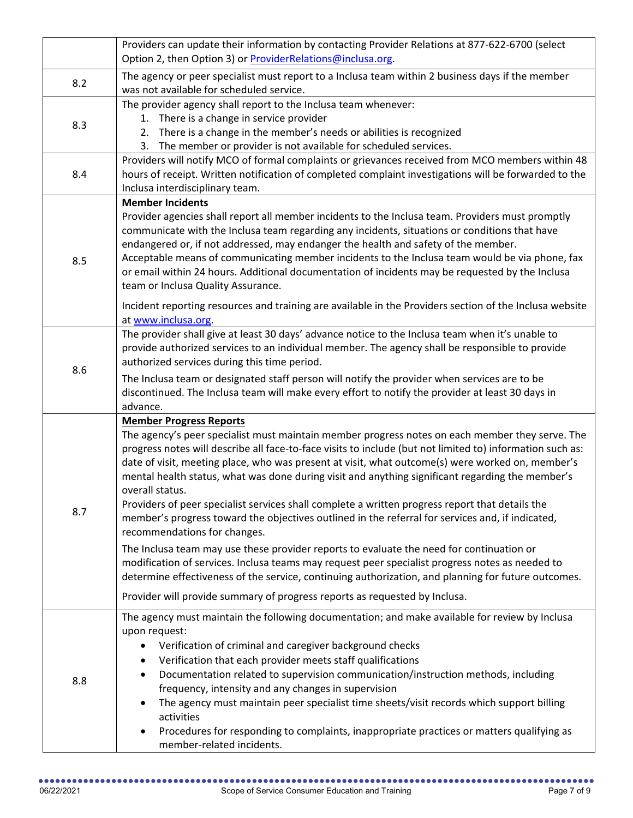|     | Providers can update their information by contacting Provider Relations at 877-622-6700 (select                                                                                                     |
|-----|-----------------------------------------------------------------------------------------------------------------------------------------------------------------------------------------------------|
|     | Option 2, then Option 3) or ProviderRelations@inclusa.org.                                                                                                                                          |
| 8.2 | The agency or peer specialist must report to a Inclusa team within 2 business days if the member                                                                                                    |
|     | was not available for scheduled service.                                                                                                                                                            |
|     | The provider agency shall report to the Inclusa team whenever:                                                                                                                                      |
| 8.3 | 1. There is a change in service provider<br>2.                                                                                                                                                      |
|     | There is a change in the member's needs or abilities is recognized<br>3. The member or provider is not available for scheduled services.                                                            |
|     | Providers will notify MCO of formal complaints or grievances received from MCO members within 48                                                                                                    |
| 8.4 | hours of receipt. Written notification of completed complaint investigations will be forwarded to the                                                                                               |
|     | Inclusa interdisciplinary team.                                                                                                                                                                     |
|     | <b>Member Incidents</b>                                                                                                                                                                             |
|     | Provider agencies shall report all member incidents to the Inclusa team. Providers must promptly                                                                                                    |
|     | communicate with the Inclusa team regarding any incidents, situations or conditions that have                                                                                                       |
|     | endangered or, if not addressed, may endanger the health and safety of the member.                                                                                                                  |
| 8.5 | Acceptable means of communicating member incidents to the Inclusa team would be via phone, fax                                                                                                      |
|     | or email within 24 hours. Additional documentation of incidents may be requested by the Inclusa                                                                                                     |
|     | team or Inclusa Quality Assurance.                                                                                                                                                                  |
|     | Incident reporting resources and training are available in the Providers section of the Inclusa website                                                                                             |
|     | at www.inclusa.org.                                                                                                                                                                                 |
|     | The provider shall give at least 30 days' advance notice to the Inclusa team when it's unable to<br>provide authorized services to an individual member. The agency shall be responsible to provide |
|     | authorized services during this time period.                                                                                                                                                        |
| 8.6 | The Inclusa team or designated staff person will notify the provider when services are to be                                                                                                        |
|     | discontinued. The Inclusa team will make every effort to notify the provider at least 30 days in                                                                                                    |
|     | advance.                                                                                                                                                                                            |
|     | <b>Member Progress Reports</b>                                                                                                                                                                      |
|     | The agency's peer specialist must maintain member progress notes on each member they serve. The                                                                                                     |
|     | progress notes will describe all face-to-face visits to include (but not limited to) information such as:                                                                                           |
|     | date of visit, meeting place, who was present at visit, what outcome(s) were worked on, member's                                                                                                    |
|     | mental health status, what was done during visit and anything significant regarding the member's                                                                                                    |
|     | overall status.<br>Providers of peer specialist services shall complete a written progress report that details the                                                                                  |
| 8.7 | member's progress toward the objectives outlined in the referral for services and, if indicated,                                                                                                    |
|     | recommendations for changes.                                                                                                                                                                        |
|     | The Inclusa team may use these provider reports to evaluate the need for continuation or                                                                                                            |
|     | modification of services. Inclusa teams may request peer specialist progress notes as needed to                                                                                                     |
|     | determine effectiveness of the service, continuing authorization, and planning for future outcomes.                                                                                                 |
|     | Provider will provide summary of progress reports as requested by Inclusa.                                                                                                                          |
|     |                                                                                                                                                                                                     |
| 8.8 | The agency must maintain the following documentation; and make available for review by Inclusa                                                                                                      |
|     | upon request:<br>Verification of criminal and caregiver background checks                                                                                                                           |
|     | Verification that each provider meets staff qualifications<br>٠                                                                                                                                     |
|     | Documentation related to supervision communication/instruction methods, including<br>$\bullet$                                                                                                      |
|     | frequency, intensity and any changes in supervision                                                                                                                                                 |
|     | The agency must maintain peer specialist time sheets/visit records which support billing<br>$\bullet$                                                                                               |
|     | activities                                                                                                                                                                                          |
|     | Procedures for responding to complaints, inappropriate practices or matters qualifying as<br>$\bullet$                                                                                              |
|     | member-related incidents.                                                                                                                                                                           |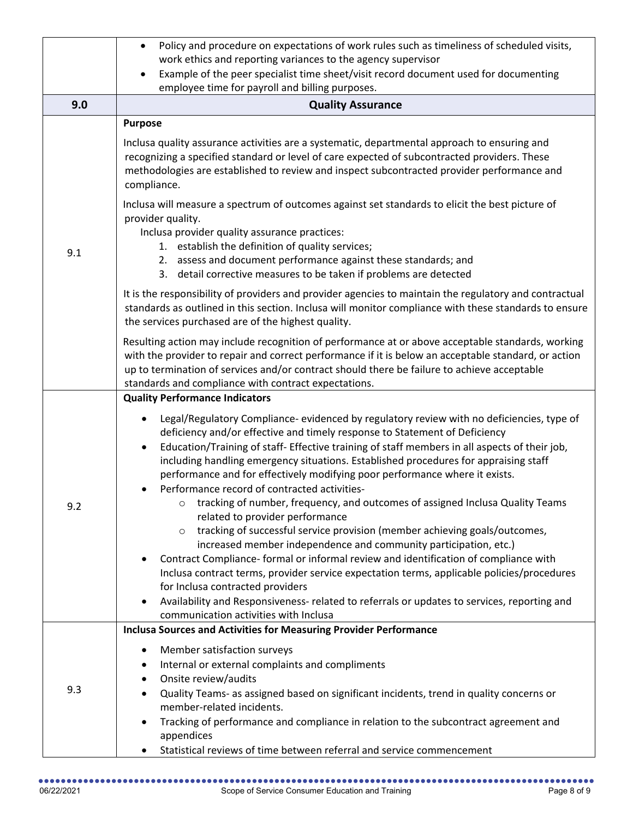|     | Policy and procedure on expectations of work rules such as timeliness of scheduled visits,<br>$\bullet$<br>work ethics and reporting variances to the agency supervisor<br>Example of the peer specialist time sheet/visit record document used for documenting<br>employee time for payroll and billing purposes.                                                                                                                                                                                                                            |
|-----|-----------------------------------------------------------------------------------------------------------------------------------------------------------------------------------------------------------------------------------------------------------------------------------------------------------------------------------------------------------------------------------------------------------------------------------------------------------------------------------------------------------------------------------------------|
| 9.0 | <b>Quality Assurance</b>                                                                                                                                                                                                                                                                                                                                                                                                                                                                                                                      |
| 9.1 | <b>Purpose</b><br>Inclusa quality assurance activities are a systematic, departmental approach to ensuring and<br>recognizing a specified standard or level of care expected of subcontracted providers. These<br>methodologies are established to review and inspect subcontracted provider performance and<br>compliance.                                                                                                                                                                                                                   |
|     | Inclusa will measure a spectrum of outcomes against set standards to elicit the best picture of<br>provider quality.<br>Inclusa provider quality assurance practices:<br>1. establish the definition of quality services;<br>2. assess and document performance against these standards; and<br>detail corrective measures to be taken if problems are detected<br>3.                                                                                                                                                                         |
|     | It is the responsibility of providers and provider agencies to maintain the regulatory and contractual<br>standards as outlined in this section. Inclusa will monitor compliance with these standards to ensure<br>the services purchased are of the highest quality.                                                                                                                                                                                                                                                                         |
|     | Resulting action may include recognition of performance at or above acceptable standards, working<br>with the provider to repair and correct performance if it is below an acceptable standard, or action<br>up to termination of services and/or contract should there be failure to achieve acceptable<br>standards and compliance with contract expectations.                                                                                                                                                                              |
|     | <b>Quality Performance Indicators</b>                                                                                                                                                                                                                                                                                                                                                                                                                                                                                                         |
| 9.2 | Legal/Regulatory Compliance- evidenced by regulatory review with no deficiencies, type of<br>$\bullet$<br>deficiency and/or effective and timely response to Statement of Deficiency<br>Education/Training of staff- Effective training of staff members in all aspects of their job,<br>$\bullet$<br>including handling emergency situations. Established procedures for appraising staff<br>performance and for effectively modifying poor performance where it exists.<br>Performance record of contracted activities-<br>$\bullet$        |
|     | tracking of number, frequency, and outcomes of assigned Inclusa Quality Teams<br>related to provider performance                                                                                                                                                                                                                                                                                                                                                                                                                              |
|     | tracking of successful service provision (member achieving goals/outcomes,<br>$\circ$<br>increased member independence and community participation, etc.)<br>Contract Compliance- formal or informal review and identification of compliance with<br>$\bullet$<br>Inclusa contract terms, provider service expectation terms, applicable policies/procedures<br>for Inclusa contracted providers<br>Availability and Responsiveness- related to referrals or updates to services, reporting and<br>٠<br>communication activities with Inclusa |
|     | <b>Inclusa Sources and Activities for Measuring Provider Performance</b>                                                                                                                                                                                                                                                                                                                                                                                                                                                                      |
| 9.3 | Member satisfaction surveys<br>٠<br>Internal or external complaints and compliments<br>$\bullet$<br>Onsite review/audits<br>$\bullet$<br>Quality Teams- as assigned based on significant incidents, trend in quality concerns or<br>$\bullet$<br>member-related incidents.<br>Tracking of performance and compliance in relation to the subcontract agreement and<br>$\bullet$                                                                                                                                                                |
|     | appendices<br>Statistical reviews of time between referral and service commencement                                                                                                                                                                                                                                                                                                                                                                                                                                                           |